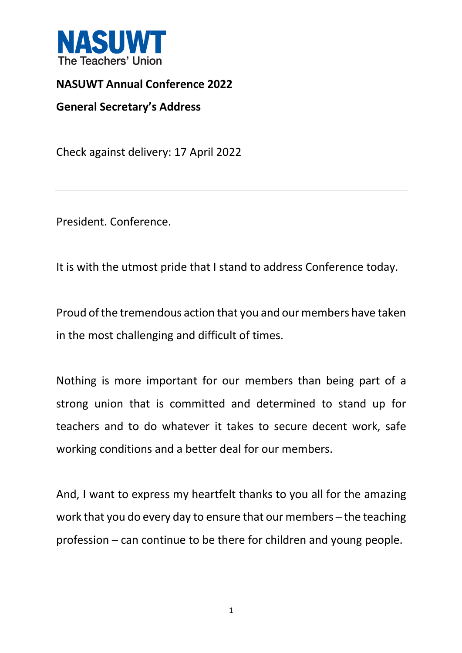

## **NASUWT Annual Conference 2022**

**General Secretary's Address**

Check against delivery: 17 April 2022

President. Conference.

It is with the utmost pride that I stand to address Conference today.

Proud of the tremendous action that you and our members have taken in the most challenging and difficult of times.

Nothing is more important for our members than being part of a strong union that is committed and determined to stand up for teachers and to do whatever it takes to secure decent work, safe working conditions and a better deal for our members.

And, I want to express my heartfelt thanks to you all for the amazing work that you do every day to ensure that our members – the teaching profession – can continue to be there for children and young people.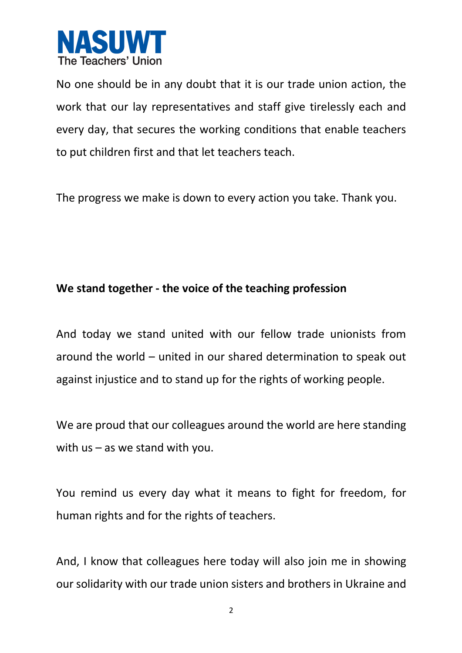

No one should be in any doubt that it is our trade union action, the work that our lay representatives and staff give tirelessly each and every day, that secures the working conditions that enable teachers to put children first and that let teachers teach.

The progress we make is down to every action you take. Thank you.

## **We stand together - the voice of the teaching profession**

And today we stand united with our fellow trade unionists from around the world – united in our shared determination to speak out against injustice and to stand up for the rights of working people.

We are proud that our colleagues around the world are here standing with us – as we stand with you.

You remind us every day what it means to fight for freedom, for human rights and for the rights of teachers.

And, I know that colleagues here today will also join me in showing our solidarity with our trade union sisters and brothers in Ukraine and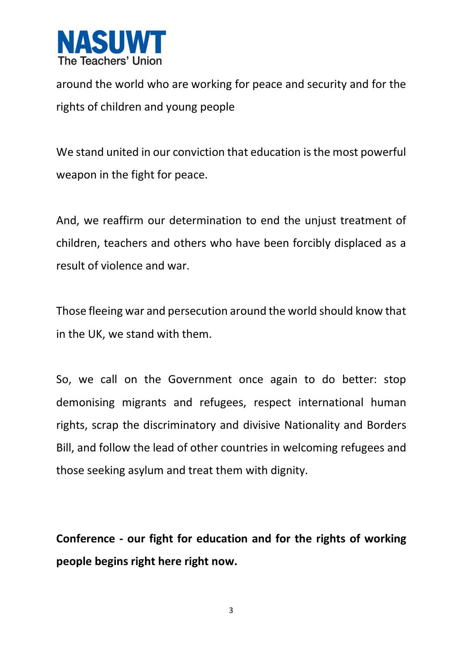

around the world who are working for peace and security and for the rights of children and young people

We stand united in our conviction that education is the most powerful weapon in the fight for peace.

And, we reaffirm our determination to end the unjust treatment of children, teachers and others who have been forcibly displaced as a result of violence and war.

Those fleeing war and persecution around the world should know that in the UK, we stand with them.

So, we call on the Government once again to do better: stop demonising migrants and refugees, respect international human rights, scrap the discriminatory and divisive Nationality and Borders Bill, and follow the lead of other countries in welcoming refugees and those seeking asylum and treat them with dignity.

**Conference - our fight for education and for the rights of working people begins right here right now.**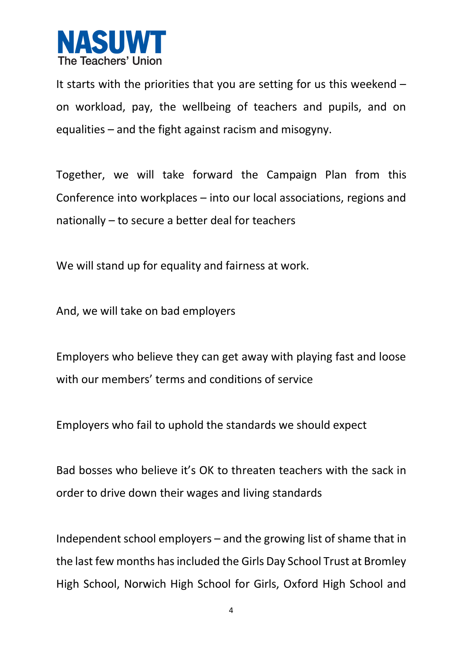

It starts with the priorities that you are setting for us this weekend – on workload, pay, the wellbeing of teachers and pupils, and on equalities – and the fight against racism and misogyny.

Together, we will take forward the Campaign Plan from this Conference into workplaces – into our local associations, regions and nationally – to secure a better deal for teachers

We will stand up for equality and fairness at work.

And, we will take on bad employers

Employers who believe they can get away with playing fast and loose with our members' terms and conditions of service

Employers who fail to uphold the standards we should expect

Bad bosses who believe it's OK to threaten teachers with the sack in order to drive down their wages and living standards

Independent school employers – and the growing list of shame that in the last few months has included the Girls Day School Trust at Bromley High School, Norwich High School for Girls, Oxford High School and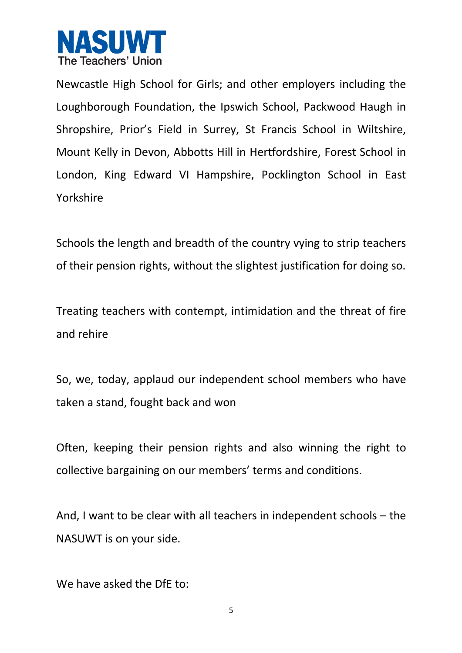

Newcastle High School for Girls; and other employers including the Loughborough Foundation, the Ipswich School, Packwood Haugh in Shropshire, Prior's Field in Surrey, St Francis School in Wiltshire, Mount Kelly in Devon, Abbotts Hill in Hertfordshire, Forest School in London, King Edward VI Hampshire, Pocklington School in East Yorkshire

Schools the length and breadth of the country vying to strip teachers of their pension rights, without the slightest justification for doing so.

Treating teachers with contempt, intimidation and the threat of fire and rehire

So, we, today, applaud our independent school members who have taken a stand, fought back and won

Often, keeping their pension rights and also winning the right to collective bargaining on our members' terms and conditions.

And, I want to be clear with all teachers in independent schools – the NASUWT is on your side.

We have asked the DfE to: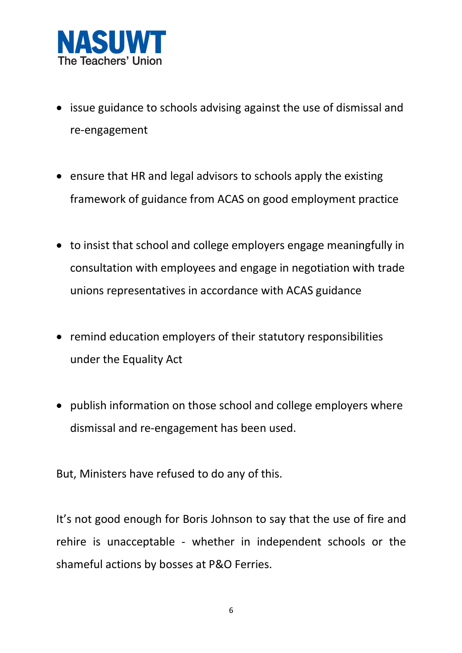

- issue guidance to schools advising against the use of dismissal and re-engagement
- ensure that HR and legal advisors to schools apply the existing framework of guidance from ACAS on good employment practice
- to insist that school and college employers engage meaningfully in consultation with employees and engage in negotiation with trade unions representatives in accordance with ACAS guidance
- remind education employers of their statutory responsibilities under the Equality Act
- publish information on those school and college employers where dismissal and re-engagement has been used.

But, Ministers have refused to do any of this.

It's not good enough for Boris Johnson to say that the use of fire and rehire is unacceptable - whether in independent schools or the shameful actions by bosses at P&O Ferries.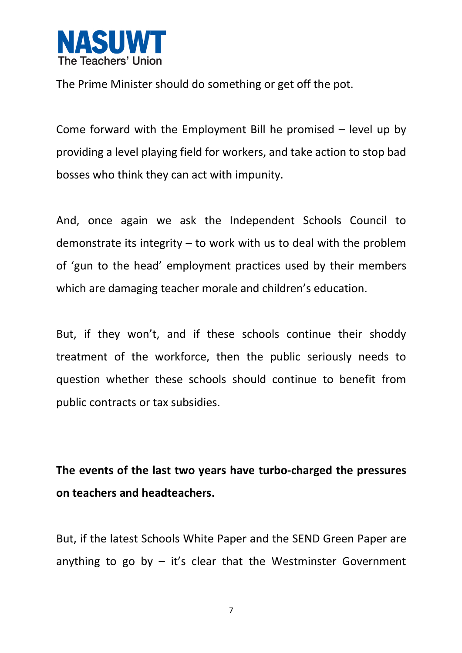

The Prime Minister should do something or get off the pot.

Come forward with the Employment Bill he promised – level up by providing a level playing field for workers, and take action to stop bad bosses who think they can act with impunity.

And, once again we ask the Independent Schools Council to demonstrate its integrity – to work with us to deal with the problem of 'gun to the head' employment practices used by their members which are damaging teacher morale and children's education.

But, if they won't, and if these schools continue their shoddy treatment of the workforce, then the public seriously needs to question whether these schools should continue to benefit from public contracts or tax subsidies.

**The events of the last two years have turbo-charged the pressures on teachers and headteachers.**

But, if the latest Schools White Paper and the SEND Green Paper are anything to go by  $-$  it's clear that the Westminster Government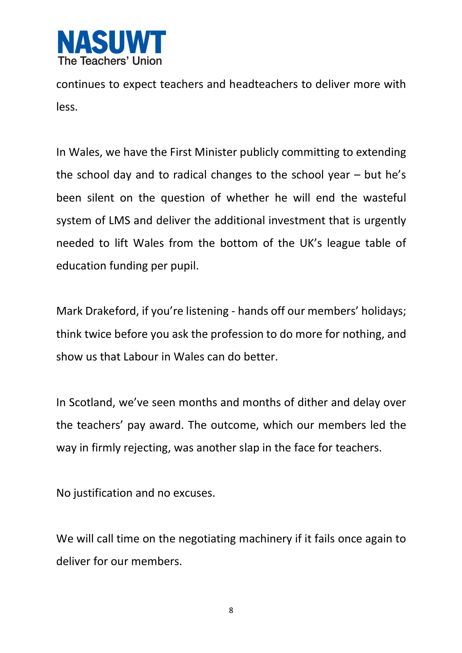

continues to expect teachers and headteachers to deliver more with less.

In Wales, we have the First Minister publicly committing to extending the school day and to radical changes to the school year – but he's been silent on the question of whether he will end the wasteful system of LMS and deliver the additional investment that is urgently needed to lift Wales from the bottom of the UK's league table of education funding per pupil.

Mark Drakeford, if you're listening - hands off our members' holidays; think twice before you ask the profession to do more for nothing, and show us that Labour in Wales can do better.

In Scotland, we've seen months and months of dither and delay over the teachers' pay award. The outcome, which our members led the way in firmly rejecting, was another slap in the face for teachers.

No justification and no excuses.

We will call time on the negotiating machinery if it fails once again to deliver for our members.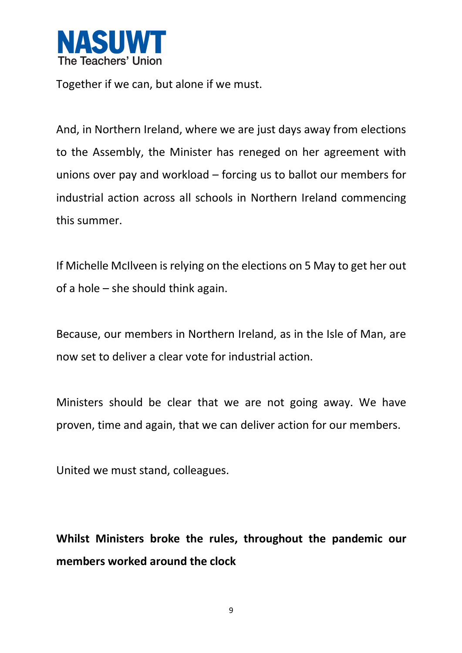

Together if we can, but alone if we must.

And, in Northern Ireland, where we are just days away from elections to the Assembly, the Minister has reneged on her agreement with unions over pay and workload – forcing us to ballot our members for industrial action across all schools in Northern Ireland commencing this summer.

If Michelle McIlveen is relying on the elections on 5 May to get her out of a hole – she should think again.

Because, our members in Northern Ireland, as in the Isle of Man, are now set to deliver a clear vote for industrial action.

Ministers should be clear that we are not going away. We have proven, time and again, that we can deliver action for our members.

United we must stand, colleagues.

**Whilst Ministers broke the rules, throughout the pandemic our members worked around the clock**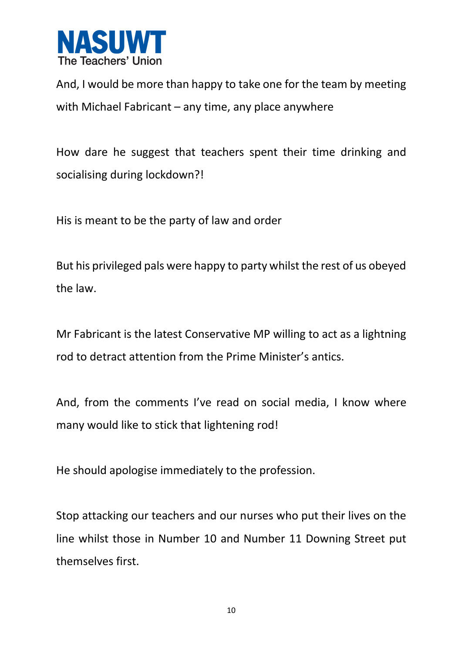

And, I would be more than happy to take one for the team by meeting with Michael Fabricant – any time, any place anywhere

How dare he suggest that teachers spent their time drinking and socialising during lockdown?!

His is meant to be the party of law and order

But his privileged pals were happy to party whilst the rest of us obeyed the law.

Mr Fabricant is the latest Conservative MP willing to act as a lightning rod to detract attention from the Prime Minister's antics.

And, from the comments I've read on social media, I know where many would like to stick that lightening rod!

He should apologise immediately to the profession.

Stop attacking our teachers and our nurses who put their lives on the line whilst those in Number 10 and Number 11 Downing Street put themselves first.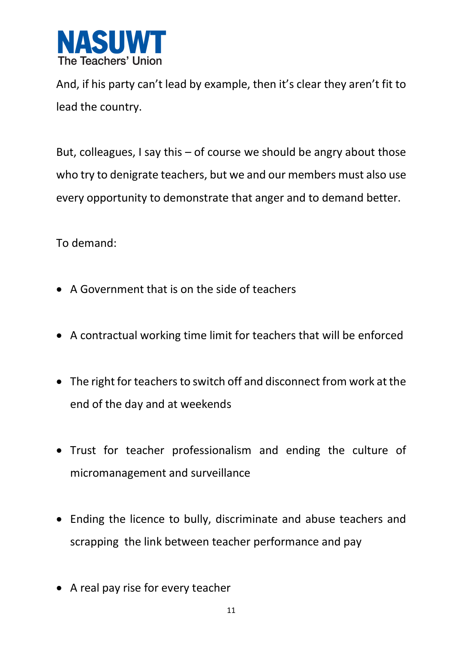

And, if his party can't lead by example, then it's clear they aren't fit to lead the country.

But, colleagues, I say this – of course we should be angry about those who try to denigrate teachers, but we and our members must also use every opportunity to demonstrate that anger and to demand better.

To demand:

- A Government that is on the side of teachers
- A contractual working time limit for teachers that will be enforced
- The right for teachers to switch off and disconnect from work at the end of the day and at weekends
- Trust for teacher professionalism and ending the culture of micromanagement and surveillance
- Ending the licence to bully, discriminate and abuse teachers and scrapping the link between teacher performance and pay
- A real pay rise for every teacher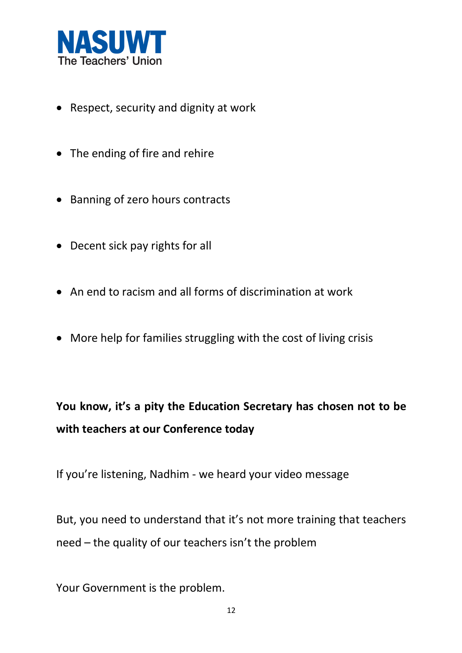

- Respect, security and dignity at work
- The ending of fire and rehire
- Banning of zero hours contracts
- Decent sick pay rights for all
- An end to racism and all forms of discrimination at work
- More help for families struggling with the cost of living crisis

**You know, it's a pity the Education Secretary has chosen not to be with teachers at our Conference today**

If you're listening, Nadhim - we heard your video message

But, you need to understand that it's not more training that teachers need – the quality of our teachers isn't the problem

Your Government is the problem.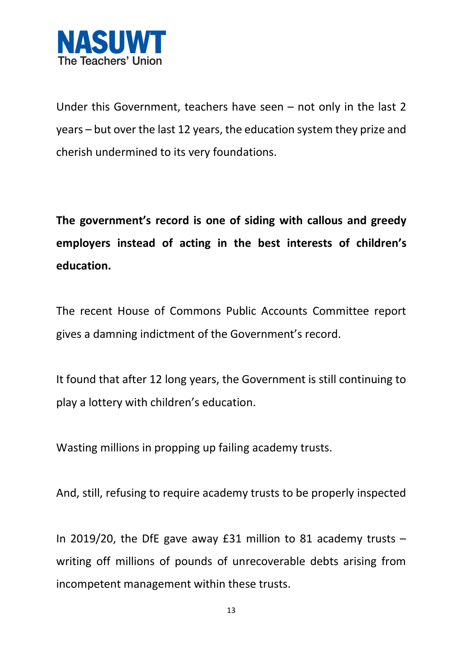

Under this Government, teachers have seen – not only in the last 2 years – but over the last 12 years, the education system they prize and cherish undermined to its very foundations.

**The government's record is one of siding with callous and greedy employers instead of acting in the best interests of children's education.**

The recent House of Commons Public Accounts Committee report gives a damning indictment of the Government's record.

It found that after 12 long years, the Government is still continuing to play a lottery with children's education.

Wasting millions in propping up failing academy trusts.

And, still, refusing to require academy trusts to be properly inspected

In 2019/20, the DfE gave away  $E31$  million to 81 academy trusts  $$ writing off millions of pounds of unrecoverable debts arising from incompetent management within these trusts.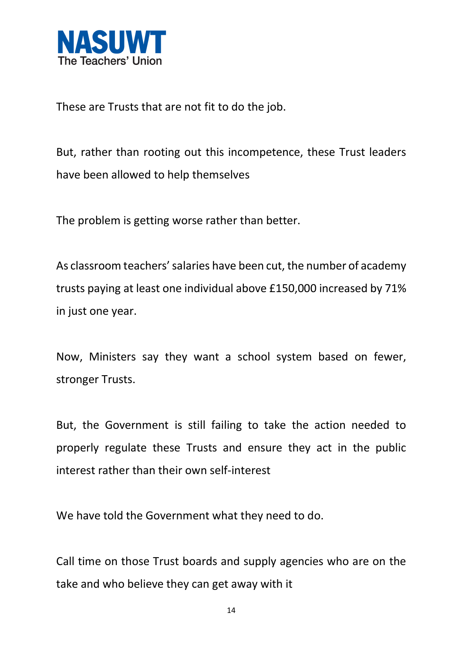

These are Trusts that are not fit to do the job.

But, rather than rooting out this incompetence, these Trust leaders have been allowed to help themselves

The problem is getting worse rather than better.

As classroom teachers' salaries have been cut, the number of academy trusts paying at least one individual above £150,000 increased by 71% in just one year.

Now, Ministers say they want a school system based on fewer, stronger Trusts.

But, the Government is still failing to take the action needed to properly regulate these Trusts and ensure they act in the public interest rather than their own self-interest

We have told the Government what they need to do.

Call time on those Trust boards and supply agencies who are on the take and who believe they can get away with it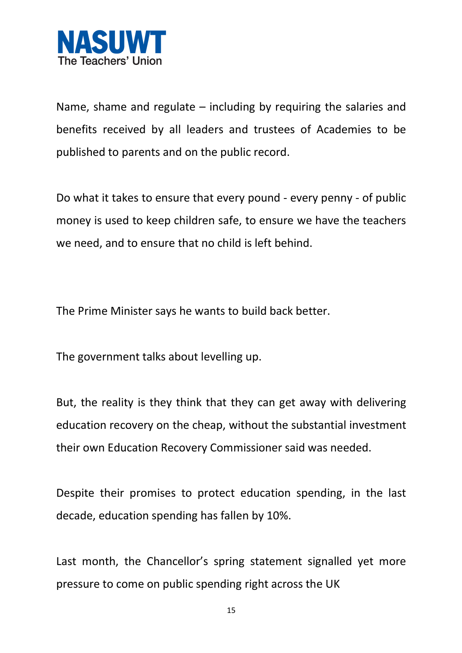

Name, shame and regulate  $-$  including by requiring the salaries and benefits received by all leaders and trustees of Academies to be published to parents and on the public record.

Do what it takes to ensure that every pound - every penny - of public money is used to keep children safe, to ensure we have the teachers we need, and to ensure that no child is left behind.

The Prime Minister says he wants to build back better.

The government talks about levelling up.

But, the reality is they think that they can get away with delivering education recovery on the cheap, without the substantial investment their own Education Recovery Commissioner said was needed.

Despite their promises to protect education spending, in the last decade, education spending has fallen by 10%.

Last month, the Chancellor's spring statement signalled yet more pressure to come on public spending right across the UK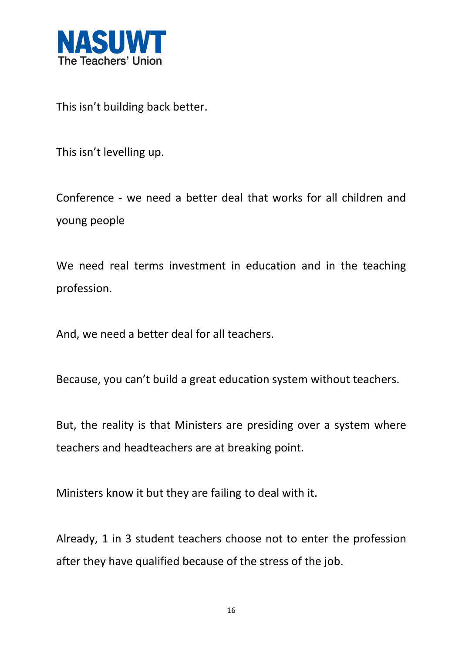

This isn't building back better.

This isn't levelling up.

Conference - we need a better deal that works for all children and young people

We need real terms investment in education and in the teaching profession.

And, we need a better deal for all teachers.

Because, you can't build a great education system without teachers.

But, the reality is that Ministers are presiding over a system where teachers and headteachers are at breaking point.

Ministers know it but they are failing to deal with it.

Already, 1 in 3 student teachers choose not to enter the profession after they have qualified because of the stress of the job.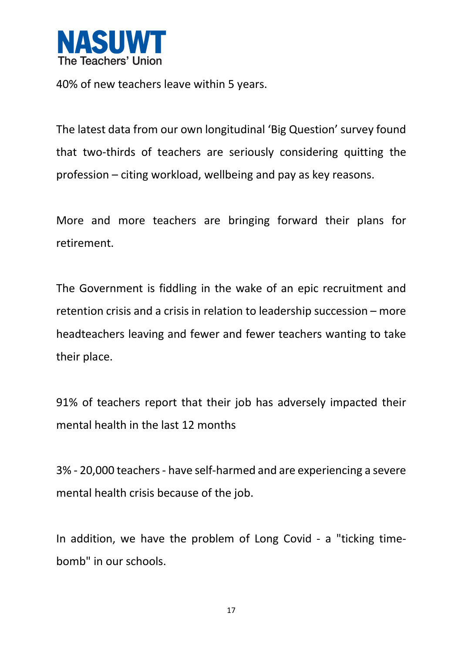

40% of new teachers leave within 5 years.

The latest data from our own longitudinal 'Big Question' survey found that two-thirds of teachers are seriously considering quitting the profession – citing workload, wellbeing and pay as key reasons.

More and more teachers are bringing forward their plans for retirement.

The Government is fiddling in the wake of an epic recruitment and retention crisis and a crisis in relation to leadership succession – more headteachers leaving and fewer and fewer teachers wanting to take their place.

91% of teachers report that their job has adversely impacted their mental health in the last 12 months

3% - 20,000 teachers - have self-harmed and are experiencing a severe mental health crisis because of the job.

In addition, we have the problem of Long Covid - a "ticking timebomb" in our schools.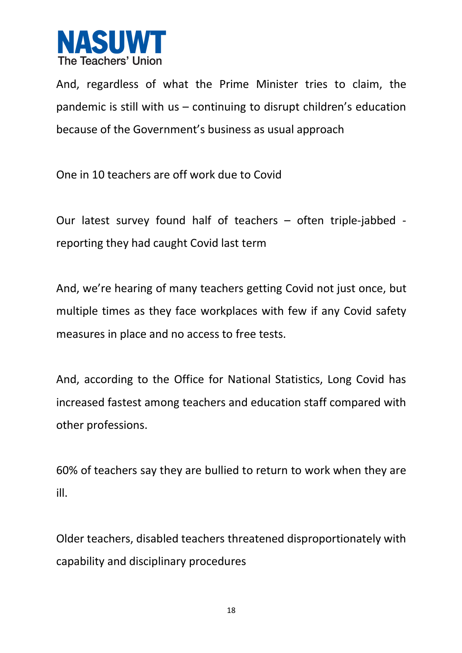

And, regardless of what the Prime Minister tries to claim, the pandemic is still with us – continuing to disrupt children's education because of the Government's business as usual approach

One in 10 teachers are off work due to Covid

Our latest survey found half of teachers – often triple-jabbed reporting they had caught Covid last term

And, we're hearing of many teachers getting Covid not just once, but multiple times as they face workplaces with few if any Covid safety measures in place and no access to free tests.

And, according to the Office for National Statistics, Long Covid has increased fastest among teachers and education staff compared with other professions.

60% of teachers say they are bullied to return to work when they are ill.

Older teachers, disabled teachers threatened disproportionately with capability and disciplinary procedures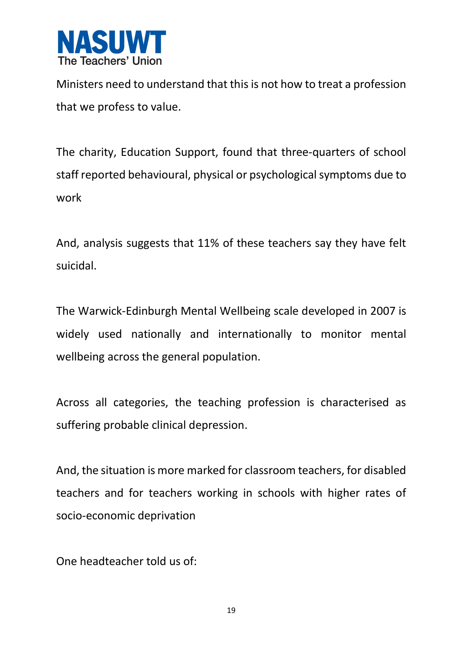

Ministers need to understand that this is not how to treat a profession that we profess to value.

The charity, Education Support, found that three-quarters of school staff reported behavioural, physical or psychological symptoms due to work

And, analysis suggests that 11% of these teachers say they have felt suicidal.

The Warwick-Edinburgh Mental Wellbeing scale developed in 2007 is widely used nationally and internationally to monitor mental wellbeing across the general population.

Across all categories, the teaching profession is characterised as suffering probable clinical depression.

And, the situation is more marked for classroom teachers, for disabled teachers and for teachers working in schools with higher rates of socio-economic deprivation

One headteacher told us of: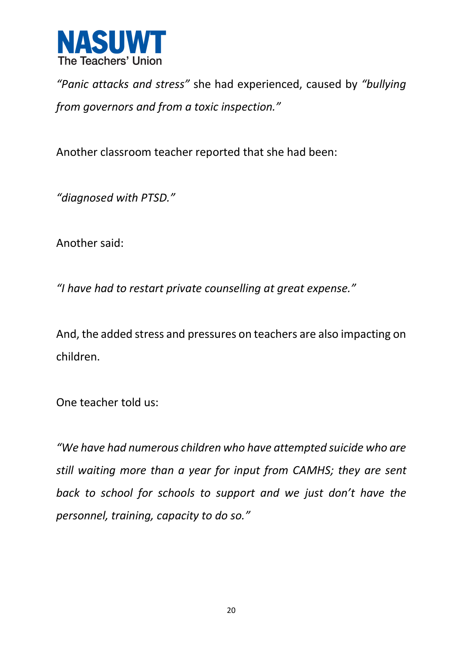

*"Panic attacks and stress"* she had experienced, caused by *"bullying from governors and from a toxic inspection."*

Another classroom teacher reported that she had been:

*"diagnosed with PTSD."*

Another said:

*"I have had to restart private counselling at great expense."*

And, the added stress and pressures on teachers are also impacting on children.

One teacher told us:

*"We have had numerous children who have attempted suicide who are still waiting more than a year for input from CAMHS; they are sent back to school for schools to support and we just don't have the personnel, training, capacity to do so."*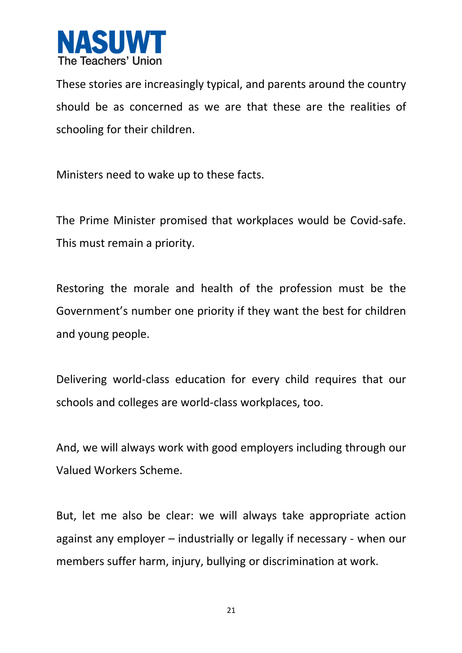

These stories are increasingly typical, and parents around the country should be as concerned as we are that these are the realities of schooling for their children.

Ministers need to wake up to these facts.

The Prime Minister promised that workplaces would be Covid-safe. This must remain a priority.

Restoring the morale and health of the profession must be the Government's number one priority if they want the best for children and young people.

Delivering world-class education for every child requires that our schools and colleges are world-class workplaces, too.

And, we will always work with good employers including through our Valued Workers Scheme.

But, let me also be clear: we will always take appropriate action against any employer – industrially or legally if necessary - when our members suffer harm, injury, bullying or discrimination at work.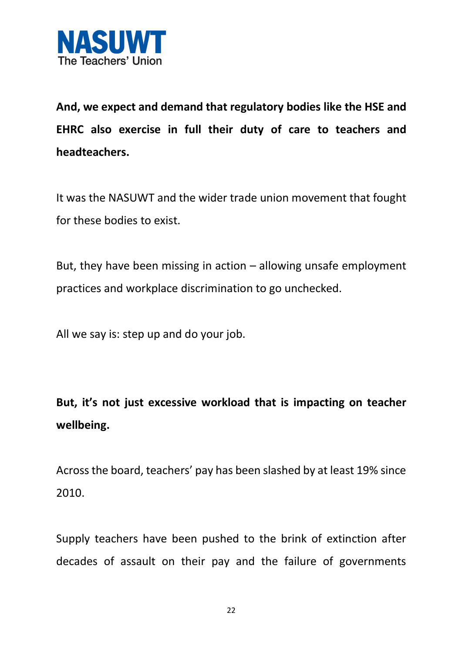

**And, we expect and demand that regulatory bodies like the HSE and EHRC also exercise in full their duty of care to teachers and headteachers.**

It was the NASUWT and the wider trade union movement that fought for these bodies to exist.

But, they have been missing in action – allowing unsafe employment practices and workplace discrimination to go unchecked.

All we say is: step up and do your job.

**But, it's not just excessive workload that is impacting on teacher wellbeing.**

Acrossthe board, teachers' pay has been slashed by at least 19% since 2010.

Supply teachers have been pushed to the brink of extinction after decades of assault on their pay and the failure of governments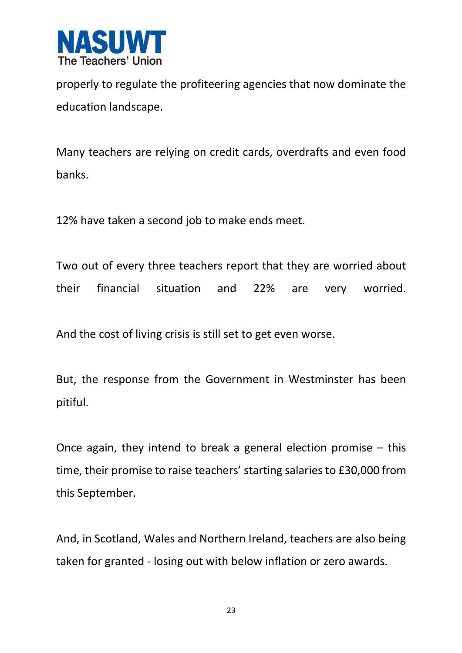

properly to regulate the profiteering agencies that now dominate the education landscape.

Many teachers are relying on credit cards, overdrafts and even food banks.

12% have taken a second job to make ends meet.

Two out of every three teachers report that they are worried about their financial situation and 22% are very worried.

And the cost of living crisis is still set to get even worse.

But, the response from the Government in Westminster has been pitiful.

Once again, they intend to break a general election promise – this time, their promise to raise teachers' starting salaries to £30,000 from this September.

And, in Scotland, Wales and Northern Ireland, teachers are also being taken for granted - losing out with below inflation or zero awards.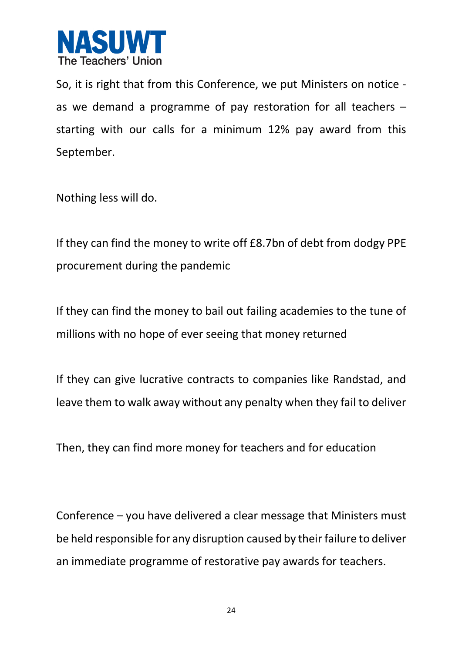

So, it is right that from this Conference, we put Ministers on notice as we demand a programme of pay restoration for all teachers – starting with our calls for a minimum 12% pay award from this September.

Nothing less will do.

If they can find the money to write off £8.7bn of debt from dodgy PPE procurement during the pandemic

If they can find the money to bail out failing academies to the tune of millions with no hope of ever seeing that money returned

If they can give lucrative contracts to companies like Randstad, and leave them to walk away without any penalty when they fail to deliver

Then, they can find more money for teachers and for education

Conference – you have delivered a clear message that Ministers must be held responsible for any disruption caused by their failure to deliver an immediate programme of restorative pay awards for teachers.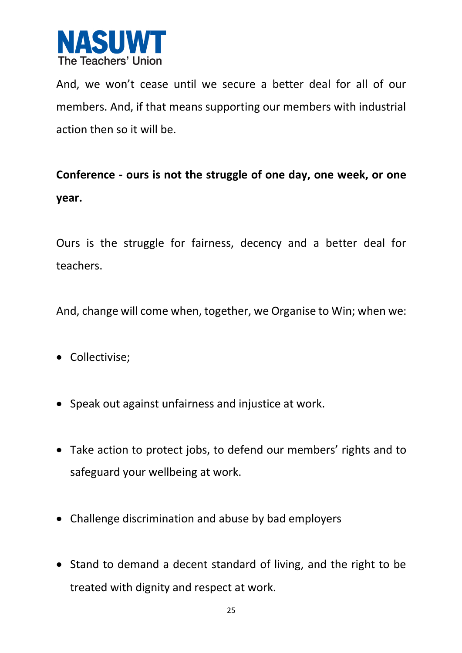

And, we won't cease until we secure a better deal for all of our members. And, if that means supporting our members with industrial action then so it will be.

## **Conference - ours is not the struggle of one day, one week, or one year.**

Ours is the struggle for fairness, decency and a better deal for teachers.

And, change will come when, together, we Organise to Win; when we:

- Collectivise;
- Speak out against unfairness and injustice at work.
- Take action to protect jobs, to defend our members' rights and to safeguard your wellbeing at work.
- Challenge discrimination and abuse by bad employers
- Stand to demand a decent standard of living, and the right to be treated with dignity and respect at work.